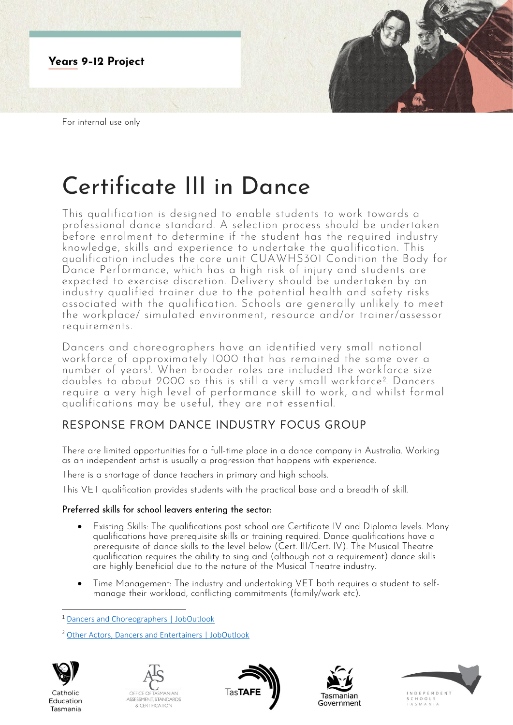

# Certificate III in Dance

This qualification is designed to enable students to work towards a professional dance standard. A selection process should be undertaken before enrolment to determine if the student has the required industry knowledge, skills and experience to undertake the qualification. This qualification includes the core unit CUAWHS301 Condition the Body for Dance Performance, which has a high risk of injury and students are expected to exercise discretion. Delivery should be undertaken by an industry qualified trainer due to the potential health and safety risks associated with the qualification. Schools are generally unlikely to meet the workplace/ simulated environment, resource and/or trainer/assessor requirements.

Dancers and choreographers have an identified very small national workforce of approximately 1000 that has remained the same over a number of years<sup>1</sup> . When broader roles are included the workforce size doubles to about 2000 so this is still a very small workforce<sup>2</sup> . Dancers require a very high level of performance skill to work, and whilst formal qualifications may be useful, they are not essential.

# RESPONSE FROM DANCE INDUSTRY FOCUS GROUP

There are limited opportunities for a full-time place in a dance company in Australia. Working as an independent artist is usually a progression that happens with experience.

There is a shortage of dance teachers in primary and high schools.

This VET qualification provides students with the practical base and a breadth of skill.

## Preferred skills for school leavers entering the sector:

- Existing Skills: The qualifications post school are Certificate IV and Diploma levels. Many qualifications have prerequisite skills or training required. Dance qualifications have a prerequisite of dance skills to the level below (Cert. III/Cert. IV). The Musical Theatre qualification requires the ability to sing and (although not a requirement) dance skills are highly beneficial due to the nature of the Musical Theatre industry.
- Time Management: The industry and undertaking VET both requires a student to selfmanage their workload, conflicting commitments (family/work etc).

<sup>2</sup> [Other Actors, Dancers and Entertainers | JobOutlook](https://joboutlook.gov.au/occupations/other-actors-dancers-and-entertainers?occupationCode=211199)



Catholic

Education

Tasmania









<sup>1</sup> [Dancers and Choreographers | JobOutlook](https://joboutlook.gov.au/occupations/dancers-and-choreographers?occupationCode=211112)